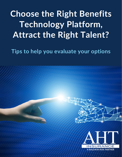# **Choose the Right Benefits Technology Platform, Attract the Right Talent?**

**Tips to help you evaluate your options**



A BALDWIN RISK PARTNER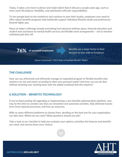Today, it takes a lot more to attract and retain talent than it did just a couple years ago, such as more work-life balance, flexibility, and satisfaction with job responsibilities.

To lure people back to the workforce and continue to earn their loyalty, employers now need to offer robust benefits programs that holistically support individual lifestyle needs and preferences – beyond higher pay.

Many of today's offerings include everything from physical wellness plans, financial education and student loan assistance to mental health services and flexible work arrangements – not to mention unlimited paid time off.

76% of surveyed employees

benefits are a major factor in their decision to stay with an employer

*Source: Corestream's "2021 State of Voluntary Benefits" Report*

# THE CHALLENGE

How can you effectively and efficiently manage an expanded program of flexible benefits that workers can mix and match according to their own personal needs? And how can you do that without straining your existing team with the added workload that this requires?

# A SOLUTION – BENEFITS TECHNOLOGY

If you've been putting off upgrading or implementing a new benefits administration platform, now may be the time to consider one that can streamline and automate activities, help eliminate human error from required processes, and free up resources.

With so many different platforms to choose from, deciding on the best one for your organization can take time. Where do you start? What questions should you ask?

Take a look at our checklist to help you evaluate your options, prioritize the features and benefits you need, and narrow down your choices.





AHTINS.COM | 800.648.4807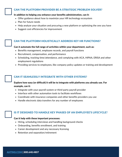#### CAN THE PLATFORM PROVIDER BE A STRATEGIC PROBLEM SOLVER?

#### In addition to helping you enhance your benefits administration, can it:

- Offer guidance about how to maximize your HR technology ecosystem
- Plan for future needs
- Help analyze your situation and procuring a new platform or optimizing the one you have
- Suggest cost efficiencies for improvement

#### CAN THE PLATFORM HOLISTICALLY ADDRESS KEY HR FUNCTIONS?

#### Can it automate the full range of activities within your department, such as:

- Benefits management, employee records, and payroll functions
- Recruitment, compensation, and performance
- Scheduling, tracking time/attendance, and complying with ACA, HIPAA, ERISA and other employment regulations
- Providing services to employees, like company policy updates or training and development

# CAN IT SEAMLESSLY INTEGRATE WITH OTHER SYSTEMS?

## Explore how easy (or difficult) it will be to integrate with platforms you already use. For example, can it:

- Integrate with your payroll system or third-party payroll provider
- Interface with other automation tools to facilitate workflows
- Coordinate with insurance companies and other benefits providers you use
- Handle electronic data transfers for any number of employees

# IS IT DESIGNED TO HANDLE KEY PHASES OF AN EMPLOYEE'S LIFECYCLE?

#### Can it help with these important processes:

- Hiring, scheduling interviews and handling background checks
- Onboarding, benefits enrollment, and training
- Career development and any necessary licensing
- Retention and separation/retirement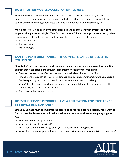# DOES IT OFFER MOBILE ACCESS FOR EMPLOYEES?

Since remote work arrangements have become a norm for today's workforce, making sure employees are engaged with your company and all you offer is ever-more important. In fact, studies show higher engagement rates can keep turnover down and productivity up.

Mobile access could be one way to strengthen ties and engagement with employees who no longer work together in a single office. So, check to see if the platform you're considering offers a mobile app that employees can use from just about anywhere to help them:

- Access benefits
- Track activity
- Make changes

# CAN THE PLATFORM HANDLE THE COMPLETE RANGE OF BENEFITS YOU OFFER?

#### Since today's offerings include a wider range of employer-sponsored and voluntary benefits, confirm that it can streamline activities and enhance efficiency for managing:

- Standard insurance benefits, such as health, dental, vision, life and disability
- $\bullet$  Financial wellness such as:  $401(k)$  retirement plans, tuition reimbursement, tax-advantaged flexible spending accounts, student loan assistance and financial coaching
- Work/life balance perks, including unlimited paid time off, family leave, unpaid time off, sabbaticals, and mental health wellness
- Child care and adoption services

# DOES THE SERVICE PROVIDER HAVE A REPUTATION FOR EXCELLENCE IN SERVICE AND SUPPORT?

Since any upgrade must be implemented according to your company's situation, you'll want to find out how implementation will be handled, as well as how you'll receive ongoing support. Ask:

- How long initial set up will take?
- What training will be provided?
- Will a dedicated team be assigned to your company for ongoing support?
- What the standard response time is to fix issues that arise once implementation is complete?

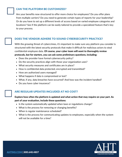# CAN THE PLATFORM BE CUSTOMIZED?

Are your benefits now structured to offer more choice for employees? Do you offer plans from multiple carriers? Do you need to generate certain types of reports for your leadership? Or do you have to set up a different levels of access based on varied employee categories and locations? See if the platform can be easily tailored to provide a specialized feature that's key to your process.

# DOES THE VENDOR ADHERE TO SOUND CYBERSECURITY PRACTICE?

With the growing threat of cybercrimes, it's important to make sure any platform you consider is structured with the latest security protocols that make it difficult for malicious actors to steal confidential employee data. Of course, your cyber team will want to thoroughly review protocols, but for starters, you can ask some preliminary questions, including:

- Does the provider have formal cybersecurity policy?
- Do the security practices align with those your organization uses?
- What security measures and certificates are in place?
- How is confidential data protected, encrypted and transmitted?
- How are authorized users managed?
- What happens if data is compromised or lost?
- What, if any, data breaches have occurred? And how was the incident handled?
- Do you have cyber insurance?

# ARE REGULAR UPDATES INCLUDED AT NO COST?

## Explore how often the platform is updated and what action that may require on your part. As part of your evaluation, include these questions:

- Is the system automatically updated when laws or regulations change?
- What is the process for removing or changing benefits?
- When is regular maintenance scheduled?
- What is the process for communicating updates to employees, especially when the system will not be available for a time?



[AHTINS.COM](https://www.ahtins.com/employee-benefits-contact-us/) | 800.648.4807